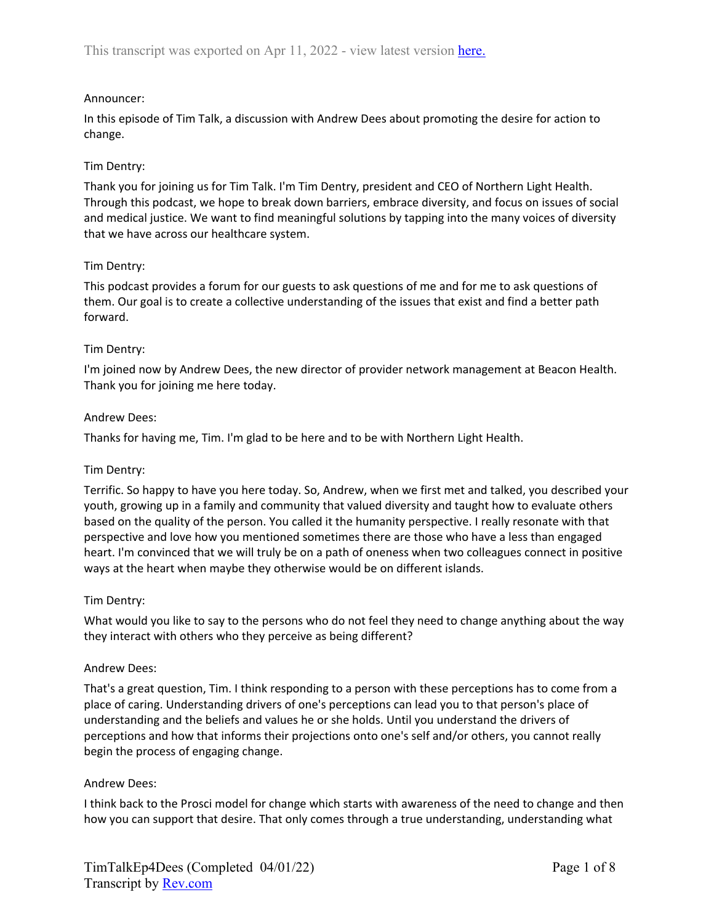# Announcer:

In this episode of Tim Talk, a discussion with Andrew Dees about promoting the desire for action to change.

# Tim Dentry:

Thank you for joining us for Tim Talk. I'm Tim Dentry, president and CEO of Northern Light Health. Through this podcast, we hope to break down barriers, embrace diversity, and focus on issues of social and medical justice. We want to find meaningful solutions by tapping into the many voices of diversity that we have across our healthcare system.

## Tim Dentry:

This podcast provides a forum for our guests to ask questions of me and for me to ask questions of them. Our goal is to create a collective understanding of the issues that exist and find a better path forward.

## Tim Dentry:

I'm joined now by Andrew Dees, the new director of provider network management at Beacon Health. Thank you for joining me here today.

### Andrew Dees:

Thanks for having me, Tim. I'm glad to be here and to be with Northern Light Health.

### Tim Dentry:

Terrific. So happy to have you here today. So, Andrew, when we first met and talked, you described your youth, growing up in a family and community that valued diversity and taught how to evaluate others based on the quality of the person. You called it the humanity perspective. I really resonate with that perspective and love how you mentioned sometimes there are those who have a less than engaged heart. I'm convinced that we will truly be on a path of oneness when two colleagues connect in positive ways at the heart when maybe they otherwise would be on different islands.

### Tim Dentry:

What would you like to say to the persons who do not feel they need to change anything about the way they interact with others who they perceive as being different?

### Andrew Dees:

That's a great question, Tim. I think responding to a person with these perceptions has to come from a place of caring. Understanding drivers of one's perceptions can lead you to that person's place of understanding and the beliefs and values he or she holds. Until you understand the drivers of perceptions and how that informs their projections onto one's self and/or others, you cannot really begin the process of engaging change.

### Andrew Dees:

I think back to the Prosci model for change which starts with awareness of the need to change and then how you can support that desire. That only comes through a true understanding, understanding what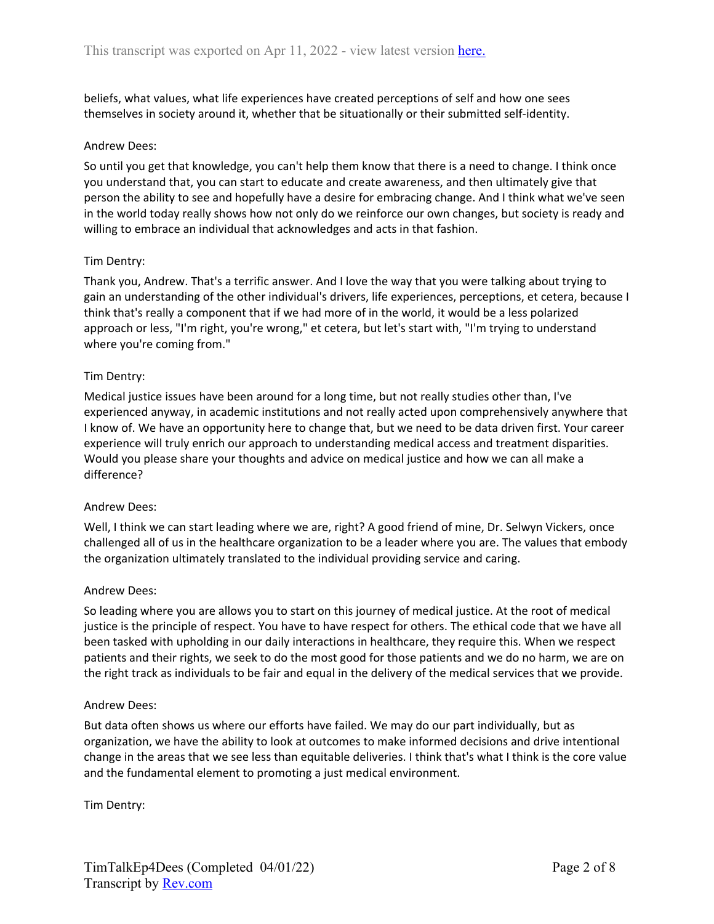beliefs, what values, what life experiences have created perceptions of self and how one sees themselves in society around it, whether that be situationally or their submitted self-identity.

### Andrew Dees:

So until you get that knowledge, you can't help them know that there is a need to change. I think once you understand that, you can start to educate and create awareness, and then ultimately give that person the ability to see and hopefully have a desire for embracing change. And I think what we've seen in the world today really shows how not only do we reinforce our own changes, but society is ready and willing to embrace an individual that acknowledges and acts in that fashion.

## Tim Dentry:

Thank you, Andrew. That's a terrific answer. And I love the way that you were talking about trying to gain an understanding of the other individual's drivers, life experiences, perceptions, et cetera, because I think that's really a component that if we had more of in the world, it would be a less polarized approach or less, "I'm right, you're wrong," et cetera, but let's start with, "I'm trying to understand where you're coming from."

## Tim Dentry:

Medical justice issues have been around for a long time, but not really studies other than, I've experienced anyway, in academic institutions and not really acted upon comprehensively anywhere that I know of. We have an opportunity here to change that, but we need to be data driven first. Your career experience will truly enrich our approach to understanding medical access and treatment disparities. Would you please share your thoughts and advice on medical justice and how we can all make a difference?

### Andrew Dees:

Well, I think we can start leading where we are, right? A good friend of mine, Dr. Selwyn Vickers, once challenged all of us in the healthcare organization to be a leader where you are. The values that embody the organization ultimately translated to the individual providing service and caring.

### Andrew Dees:

So leading where you are allows you to start on this journey of medical justice. At the root of medical justice is the principle of respect. You have to have respect for others. The ethical code that we have all been tasked with upholding in our daily interactions in healthcare, they require this. When we respect patients and their rights, we seek to do the most good for those patients and we do no harm, we are on the right track as individuals to be fair and equal in the delivery of the medical services that we provide.

### Andrew Dees:

But data often shows us where our efforts have failed. We may do our part individually, but as organization, we have the ability to look at outcomes to make informed decisions and drive intentional change in the areas that we see less than equitable deliveries. I think that's what I think is the core value and the fundamental element to promoting a just medical environment.

Tim Dentry: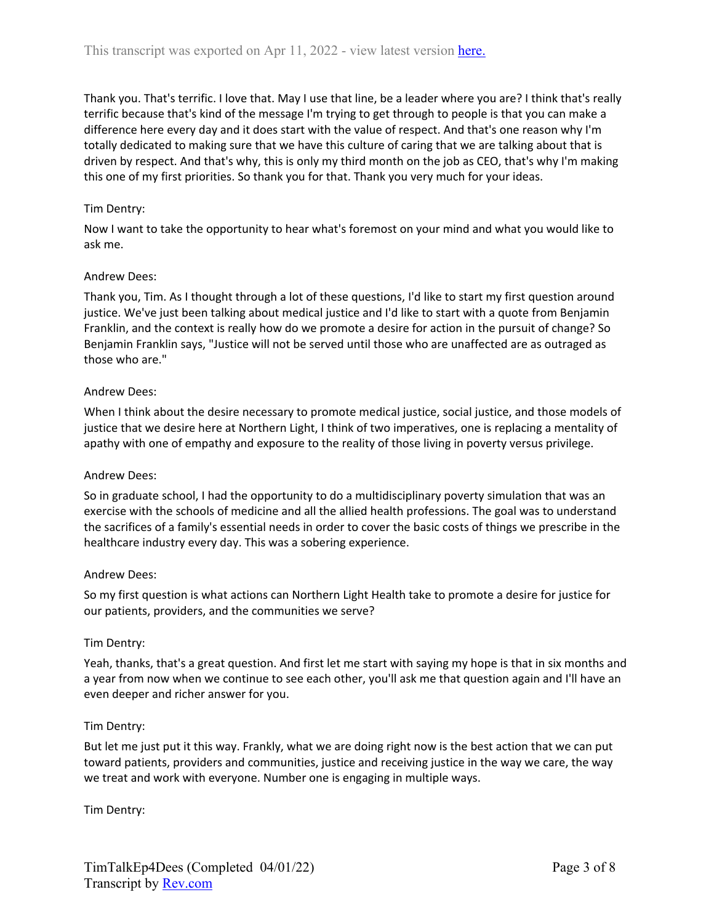Thank you. That's terrific. I love that. May I use that line, be a leader where you are? I think that's really terrific because that's kind of the message I'm trying to get through to people is that you can make a difference here every day and it does start with the value of respect. And that's one reason why I'm totally dedicated to making sure that we have this culture of caring that we are talking about that is driven by respect. And that's why, this is only my third month on the job as CEO, that's why I'm making this one of my first priorities. So thank you for that. Thank you very much for your ideas.

# Tim Dentry:

Now I want to take the opportunity to hear what's foremost on your mind and what you would like to ask me.

### Andrew Dees:

Thank you, Tim. As I thought through a lot of these questions, I'd like to start my first question around justice. We've just been talking about medical justice and I'd like to start with a quote from Benjamin Franklin, and the context is really how do we promote a desire for action in the pursuit of change? So Benjamin Franklin says, "Justice will not be served until those who are unaffected are as outraged as those who are."

### Andrew Dees:

When I think about the desire necessary to promote medical justice, social justice, and those models of justice that we desire here at Northern Light, I think of two imperatives, one is replacing a mentality of apathy with one of empathy and exposure to the reality of those living in poverty versus privilege.

### Andrew Dees:

So in graduate school, I had the opportunity to do a multidisciplinary poverty simulation that was an exercise with the schools of medicine and all the allied health professions. The goal was to understand the sacrifices of a family's essential needs in order to cover the basic costs of things we prescribe in the healthcare industry every day. This was a sobering experience.

### Andrew Dees:

So my first question is what actions can Northern Light Health take to promote a desire for justice for our patients, providers, and the communities we serve?

### Tim Dentry:

Yeah, thanks, that's a great question. And first let me start with saying my hope is that in six months and a year from now when we continue to see each other, you'll ask me that question again and I'll have an even deeper and richer answer for you.

### Tim Dentry:

But let me just put it this way. Frankly, what we are doing right now is the best action that we can put toward patients, providers and communities, justice and receiving justice in the way we care, the way we treat and work with everyone. Number one is engaging in multiple ways.

Tim Dentry: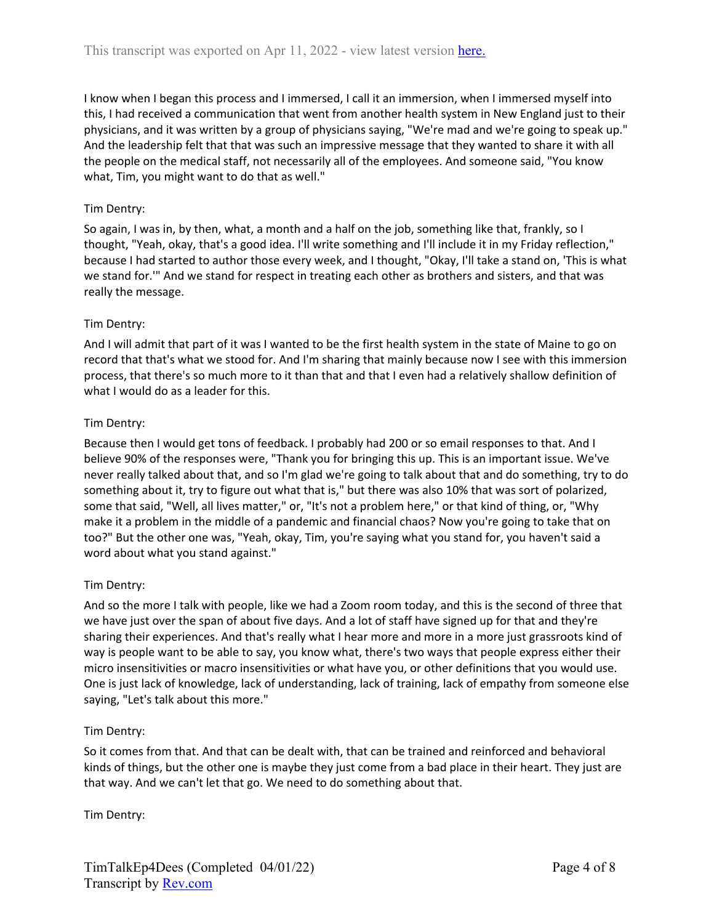I know when I began this process and I immersed, I call it an immersion, when I immersed myself into this, I had received a communication that went from another health system in New England just to their physicians, and it was written by a group of physicians saying, "We're mad and we're going to speak up." And the leadership felt that that was such an impressive message that they wanted to share it with all the people on the medical staff, not necessarily all of the employees. And someone said, "You know what, Tim, you might want to do that as well."

# Tim Dentry:

So again, I was in, by then, what, a month and a half on the job, something like that, frankly, so I thought, "Yeah, okay, that's a good idea. I'll write something and I'll include it in my Friday reflection," because I had started to author those every week, and I thought, "Okay, I'll take a stand on, 'This is what we stand for.'" And we stand for respect in treating each other as brothers and sisters, and that was really the message.

# Tim Dentry:

And I will admit that part of it was I wanted to be the first health system in the state of Maine to go on record that that's what we stood for. And I'm sharing that mainly because now I see with this immersion process, that there's so much more to it than that and that I even had a relatively shallow definition of what I would do as a leader for this.

# Tim Dentry:

Because then I would get tons of feedback. I probably had 200 or so email responses to that. And I believe 90% of the responses were, "Thank you for bringing this up. This is an important issue. We've never really talked about that, and so I'm glad we're going to talk about that and do something, try to do something about it, try to figure out what that is," but there was also 10% that was sort of polarized, some that said, "Well, all lives matter," or, "It's not a problem here," or that kind of thing, or, "Why make it a problem in the middle of a pandemic and financial chaos? Now you're going to take that on too?" But the other one was, "Yeah, okay, Tim, you're saying what you stand for, you haven't said a word about what you stand against."

# Tim Dentry:

And so the more I talk with people, like we had a Zoom room today, and this is the second of three that we have just over the span of about five days. And a lot of staff have signed up for that and they're sharing their experiences. And that's really what I hear more and more in a more just grassroots kind of way is people want to be able to say, you know what, there's two ways that people express either their micro insensitivities or macro insensitivities or what have you, or other definitions that you would use. One is just lack of knowledge, lack of understanding, lack of training, lack of empathy from someone else saying, "Let's talk about this more."

# Tim Dentry:

So it comes from that. And that can be dealt with, that can be trained and reinforced and behavioral kinds of things, but the other one is maybe they just come from a bad place in their heart. They just are that way. And we can't let that go. We need to do something about that.

Tim Dentry: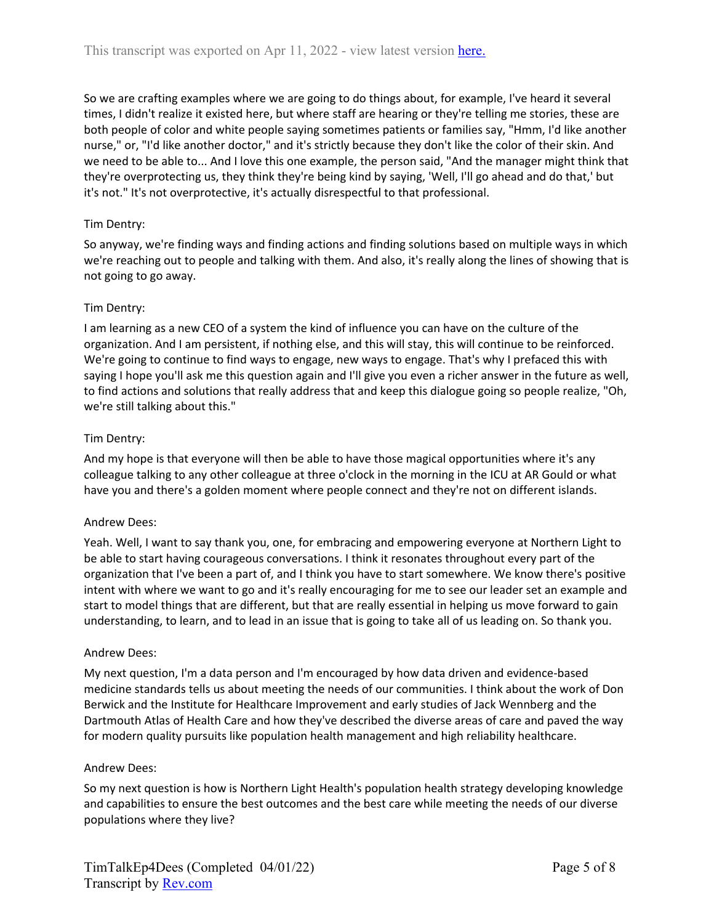So we are crafting examples where we are going to do things about, for example, I've heard it several times, I didn't realize it existed here, but where staff are hearing or they're telling me stories, these are both people of color and white people saying sometimes patients or families say, "Hmm, I'd like another nurse," or, "I'd like another doctor," and it's strictly because they don't like the color of their skin. And we need to be able to... And I love this one example, the person said, "And the manager might think that they're overprotecting us, they think they're being kind by saying, 'Well, I'll go ahead and do that,' but it's not." It's not overprotective, it's actually disrespectful to that professional.

# Tim Dentry:

So anyway, we're finding ways and finding actions and finding solutions based on multiple ways in which we're reaching out to people and talking with them. And also, it's really along the lines of showing that is not going to go away.

# Tim Dentry:

I am learning as a new CEO of a system the kind of influence you can have on the culture of the organization. And I am persistent, if nothing else, and this will stay, this will continue to be reinforced. We're going to continue to find ways to engage, new ways to engage. That's why I prefaced this with saying I hope you'll ask me this question again and I'll give you even a richer answer in the future as well, to find actions and solutions that really address that and keep this dialogue going so people realize, "Oh, we're still talking about this."

## Tim Dentry:

And my hope is that everyone will then be able to have those magical opportunities where it's any colleague talking to any other colleague at three o'clock in the morning in the ICU at AR Gould or what have you and there's a golden moment where people connect and they're not on different islands.

### Andrew Dees:

Yeah. Well, I want to say thank you, one, for embracing and empowering everyone at Northern Light to be able to start having courageous conversations. I think it resonates throughout every part of the organization that I've been a part of, and I think you have to start somewhere. We know there's positive intent with where we want to go and it's really encouraging for me to see our leader set an example and start to model things that are different, but that are really essential in helping us move forward to gain understanding, to learn, and to lead in an issue that is going to take all of us leading on. So thank you.

### Andrew Dees:

My next question, I'm a data person and I'm encouraged by how data driven and evidence-based medicine standards tells us about meeting the needs of our communities. I think about the work of Don Berwick and the Institute for Healthcare Improvement and early studies of Jack Wennberg and the Dartmouth Atlas of Health Care and how they've described the diverse areas of care and paved the way for modern quality pursuits like population health management and high reliability healthcare.

### Andrew Dees:

So my next question is how is Northern Light Health's population health strategy developing knowledge and capabilities to ensure the best outcomes and the best care while meeting the needs of our diverse populations where they live?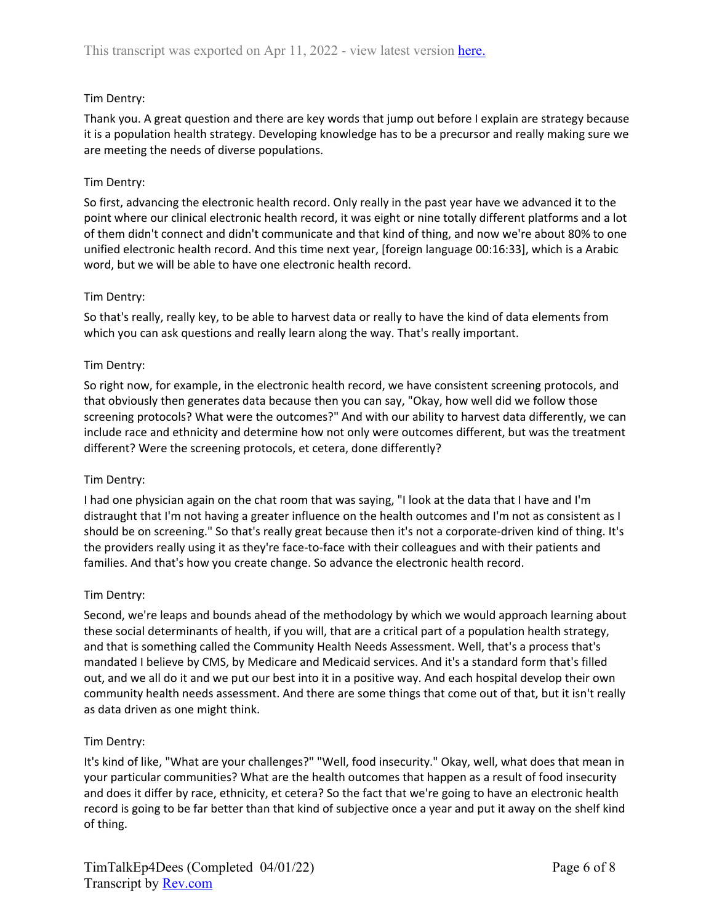# Tim Dentry:

Thank you. A great question and there are key words that jump out before I explain are strategy because it is a population health strategy. Developing knowledge has to be a precursor and really making sure we are meeting the needs of diverse populations.

# Tim Dentry:

So first, advancing the electronic health record. Only really in the past year have we advanced it to the point where our clinical electronic health record, it was eight or nine totally different platforms and a lot of them didn't connect and didn't communicate and that kind of thing, and now we're about 80% to one unified electronic health record. And this time next year, [foreign language 00:16:33], which is a Arabic word, but we will be able to have one electronic health record.

## Tim Dentry:

So that's really, really key, to be able to harvest data or really to have the kind of data elements from which you can ask questions and really learn along the way. That's really important.

## Tim Dentry:

So right now, for example, in the electronic health record, we have consistent screening protocols, and that obviously then generates data because then you can say, "Okay, how well did we follow those screening protocols? What were the outcomes?" And with our ability to harvest data differently, we can include race and ethnicity and determine how not only were outcomes different, but was the treatment different? Were the screening protocols, et cetera, done differently?

### Tim Dentry:

I had one physician again on the chat room that was saying, "I look at the data that I have and I'm distraught that I'm not having a greater influence on the health outcomes and I'm not as consistent as I should be on screening." So that's really great because then it's not a corporate-driven kind of thing. It's the providers really using it as they're face-to-face with their colleagues and with their patients and families. And that's how you create change. So advance the electronic health record.

### Tim Dentry:

Second, we're leaps and bounds ahead of the methodology by which we would approach learning about these social determinants of health, if you will, that are a critical part of a population health strategy, and that is something called the Community Health Needs Assessment. Well, that's a process that's mandated I believe by CMS, by Medicare and Medicaid services. And it's a standard form that's filled out, and we all do it and we put our best into it in a positive way. And each hospital develop their own community health needs assessment. And there are some things that come out of that, but it isn't really as data driven as one might think.

# Tim Dentry:

It's kind of like, "What are your challenges?" "Well, food insecurity." Okay, well, what does that mean in your particular communities? What are the health outcomes that happen as a result of food insecurity and does it differ by race, ethnicity, et cetera? So the fact that we're going to have an electronic health record is going to be far better than that kind of subjective once a year and put it away on the shelf kind of thing.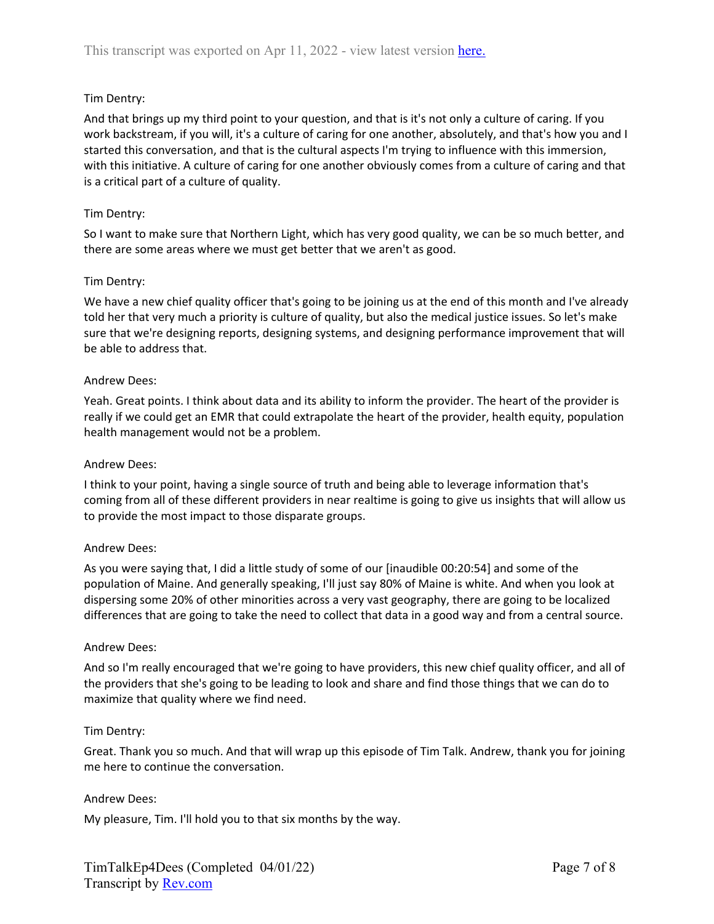## Tim Dentry:

And that brings up my third point to your question, and that is it's not only a culture of caring. If you work backstream, if you will, it's a culture of caring for one another, absolutely, and that's how you and I started this conversation, and that is the cultural aspects I'm trying to influence with this immersion, with this initiative. A culture of caring for one another obviously comes from a culture of caring and that is a critical part of a culture of quality.

### Tim Dentry:

So I want to make sure that Northern Light, which has very good quality, we can be so much better, and there are some areas where we must get better that we aren't as good.

#### Tim Dentry:

We have a new chief quality officer that's going to be joining us at the end of this month and I've already told her that very much a priority is culture of quality, but also the medical justice issues. So let's make sure that we're designing reports, designing systems, and designing performance improvement that will be able to address that.

#### Andrew Dees:

Yeah. Great points. I think about data and its ability to inform the provider. The heart of the provider is really if we could get an EMR that could extrapolate the heart of the provider, health equity, population health management would not be a problem.

#### Andrew Dees:

I think to your point, having a single source of truth and being able to leverage information that's coming from all of these different providers in near realtime is going to give us insights that will allow us to provide the most impact to those disparate groups.

### Andrew Dees:

As you were saying that, I did a little study of some of our [inaudible 00:20:54] and some of the population of Maine. And generally speaking, I'll just say 80% of Maine is white. And when you look at dispersing some 20% of other minorities across a very vast geography, there are going to be localized differences that are going to take the need to collect that data in a good way and from a central source.

### Andrew Dees:

And so I'm really encouraged that we're going to have providers, this new chief quality officer, and all of the providers that she's going to be leading to look and share and find those things that we can do to maximize that quality where we find need.

#### Tim Dentry:

Great. Thank you so much. And that will wrap up this episode of Tim Talk. Andrew, thank you for joining me here to continue the conversation.

#### Andrew Dees:

My pleasure, Tim. I'll hold you to that six months by the way.